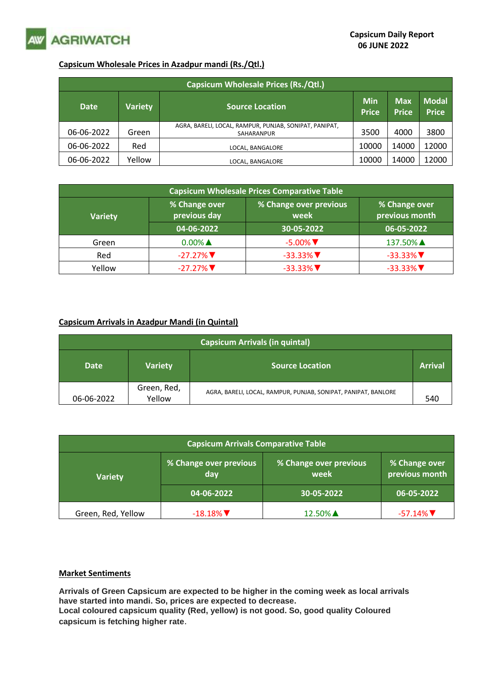

## **Capsicum Wholesale Prices in Azadpur mandi (Rs./Qtl.)**

| <b>Capsicum Wholesale Prices (Rs./Qtl.)</b> |                |                                                                      |                            |                            |                              |  |  |
|---------------------------------------------|----------------|----------------------------------------------------------------------|----------------------------|----------------------------|------------------------------|--|--|
| <b>Date</b>                                 | <b>Variety</b> | <b>Source Location</b>                                               | <b>Min</b><br><b>Price</b> | <b>Max</b><br><b>Price</b> | <b>Modal</b><br><b>Price</b> |  |  |
| 06-06-2022                                  | Green          | AGRA, BARELI, LOCAL, RAMPUR, PUNJAB, SONIPAT, PANIPAT,<br>SAHARANPUR | 3500                       | 4000                       | 3800                         |  |  |
| 06-06-2022                                  | Red            | LOCAL, BANGALORE                                                     | 10000                      | 14000                      | 12000                        |  |  |
| 06-06-2022                                  | Yellow         | LOCAL. BANGALORE                                                     | 10000                      | 14000                      | 12000                        |  |  |

| <b>Capsicum Wholesale Prices Comparative Table</b> |                               |                                |                                 |  |  |  |  |
|----------------------------------------------------|-------------------------------|--------------------------------|---------------------------------|--|--|--|--|
| <b>Variety</b>                                     | % Change over<br>previous day | % Change over previous<br>week | % Change over<br>previous month |  |  |  |  |
|                                                    | 04-06-2022                    | 30-05-2022                     | 06-05-2022                      |  |  |  |  |
| Green                                              | $0.00\%$ $\triangle$          | $-5.00\%$ $\nabla$             | 137.50% ▲                       |  |  |  |  |
| Red                                                | $-27.27\%$                    | $-33.33\%$                     | $-33.33\%$                      |  |  |  |  |
| Yellow                                             | $-27.27\%$                    | $-33.33\%$                     | $-33.33\%$                      |  |  |  |  |

## **Capsicum Arrivals in Azadpur Mandi (in Quintal)**

| <b>Capsicum Arrivals (in quintal)</b> |                       |                                                                |     |  |  |  |
|---------------------------------------|-----------------------|----------------------------------------------------------------|-----|--|--|--|
| <b>Date</b>                           | <b>Variety</b>        | <b>Source Location</b>                                         |     |  |  |  |
| 06-06-2022                            | Green, Red,<br>Yellow | AGRA, BARELI, LOCAL, RAMPUR, PUNJAB, SONIPAT, PANIPAT, BANLORE | 540 |  |  |  |

| <b>Capsicum Arrivals Comparative Table</b> |                               |                                |                                 |  |  |
|--------------------------------------------|-------------------------------|--------------------------------|---------------------------------|--|--|
| <b>Variety</b>                             | % Change over previous<br>day | % Change over previous<br>week | % Change over<br>previous month |  |  |
|                                            | $104 - 06 - 2022$             | 30-05-2022                     | 06-05-2022                      |  |  |
| Green, Red, Yellow                         | $-18.18\%$                    | 12.50% ▲                       | $-57.14\%$                      |  |  |

## **Market Sentiments**

**Arrivals of Green Capsicum are expected to be higher in the coming week as local arrivals have started into mandi. So, prices are expected to decrease. Local coloured capsicum quality (Red, yellow) is not good. So, good quality Coloured** 

**capsicum is fetching higher rate**.